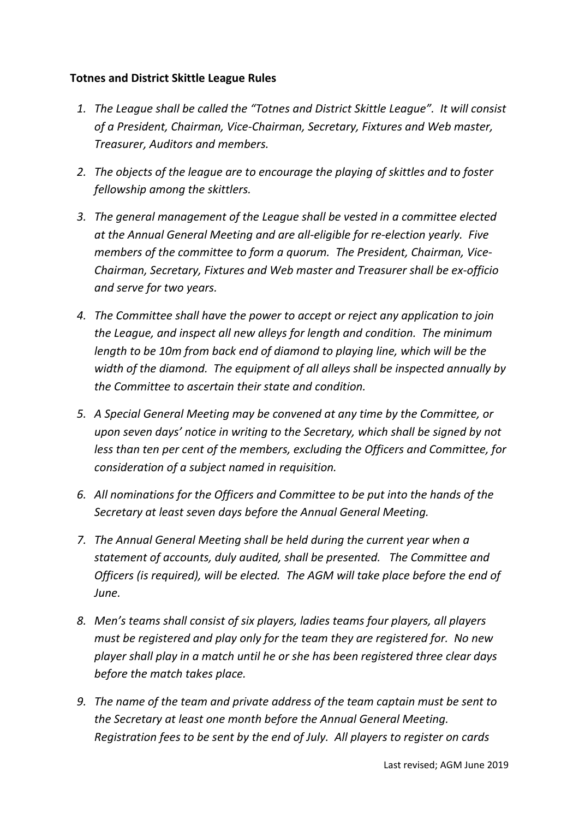### **Totnes and District Skittle League Rules**

- *1. The League shall be called the "Totnes and District Skittle League". It will consist of a President, Chairman, Vice‐Chairman, Secretary, Fixtures and Web master, Treasurer, Auditors and members.*
- *2. The objects of the league are to encourage the playing of skittles and to foster fellowship among the skittlers.*
- *3. The general management of the League shall be vested in a committee elected at the Annual General Meeting and are all‐eligible for re‐election yearly. Five members of the committee to form a quorum. The President, Chairman, Vice‐ Chairman, Secretary, Fixtures and Web master and Treasurer shall be ex‐officio and serve for two years.*
- *4. The Committee shall have the power to accept or reject any application to join the League, and inspect all new alleys for length and condition. The minimum length to be 10m from back end of diamond to playing line, which will be the width of the diamond. The equipment of all alleys shall be inspected annually by the Committee to ascertain their state and condition.*
- *5. A Special General Meeting may be convened at any time by the Committee, or upon seven days' notice in writing to the Secretary, which shall be signed by not less than ten per cent of the members, excluding the Officers and Committee, for consideration of a subject named in requisition.*
- *6. All nominations for the Officers and Committee to be put into the hands of the Secretary at least seven days before the Annual General Meeting.*
- *7. The Annual General Meeting shall be held during the current year when a statement of accounts, duly audited, shall be presented. The Committee and Officers (is required), will be elected. The AGM will take place before the end of June.*
- *8. Men's teams shall consist of six players, ladies teams four players, all players must be registered and play only for the team they are registered for. No new player shall play in a match until he or she has been registered three clear days before the match takes place.*
- *9. The name of the team and private address of the team captain must be sent to the Secretary at least one month before the Annual General Meeting. Registration fees to be sent by the end of July. All players to register on cards*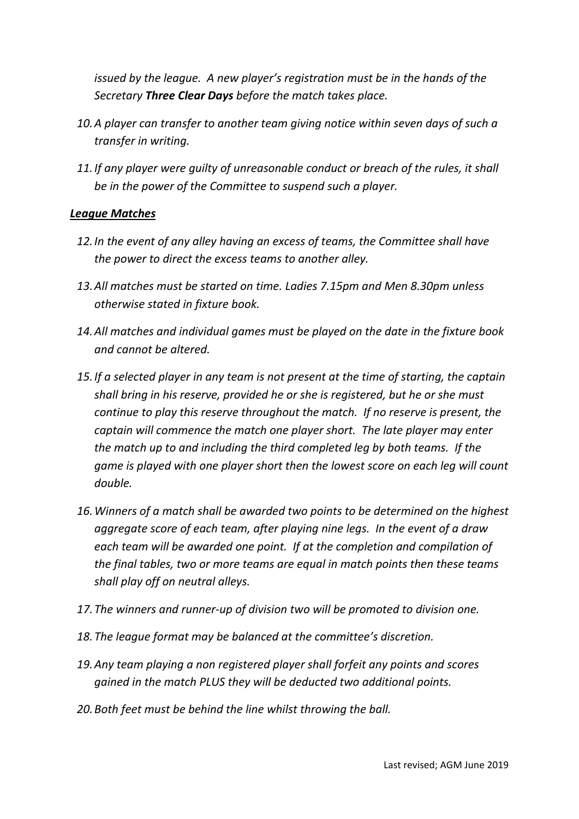*issued by the league. A new player's registration must be in the hands of the Secretary Three Clear Days before the match takes place.*

- *10.A player can transfer to another team giving notice within seven days of such a transfer in writing.*
- *11.If any player were guilty of unreasonable conduct or breach of the rules, it shall be in the power of the Committee to suspend such a player.*

### *League Matches*

- *12.In the event of any alley having an excess of teams, the Committee shall have the power to direct the excess teams to another alley.*
- *13.All matches must be started on time. Ladies 7.15pm and Men 8.30pm unless otherwise stated in fixture book.*
- *14.All matches and individual games must be played on the date in the fixture book and cannot be altered.*
- *15.If a selected player in any team is not present at the time of starting, the captain shall bring in his reserve, provided he or she is registered, but he or she must continue to play this reserve throughout the match. If no reserve is present, the captain will commence the match one player short. The late player may enter the match up to and including the third completed leg by both teams. If the game is played with one player short then the lowest score on each leg will count double.*
- *16.Winners of a match shall be awarded two points to be determined on the highest aggregate score of each team, after playing nine legs. In the event of a draw each team will be awarded one point. If at the completion and compilation of the final tables, two or more teams are equal in match points then these teams shall play off on neutral alleys.*
- *17.The winners and runner‐up of division two will be promoted to division one.*
- *18.The league format may be balanced at the committee's discretion.*
- *19.Any team playing a non registered player shall forfeit any points and scores gained in the match PLUS they will be deducted two additional points.*
- *20.Both feet must be behind the line whilst throwing the ball.*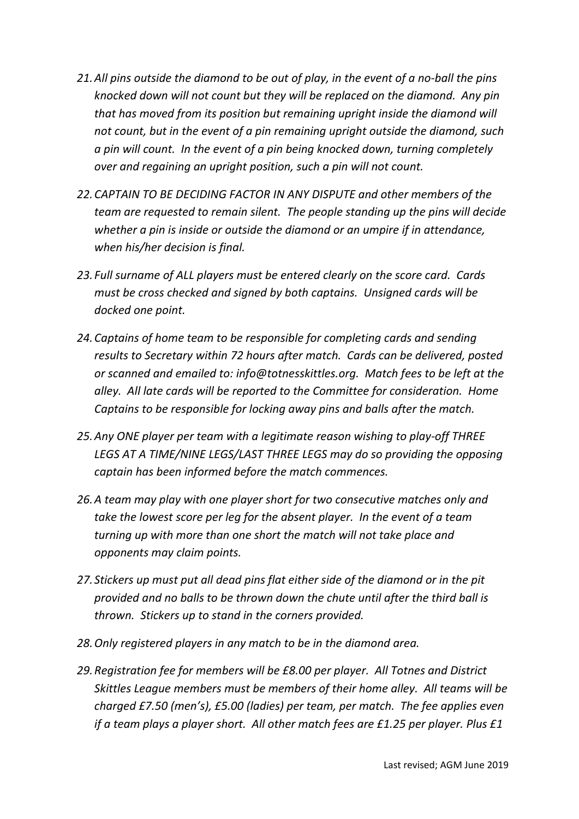- 21. All pins outside the diamond to be out of play, in the event of a no-ball the pins *knocked down will not count but they will be replaced on the diamond. Any pin that has moved from its position but remaining upright inside the diamond will not count, but in the event of a pin remaining upright outside the diamond, such a pin will count. In the event of a pin being knocked down, turning completely over and regaining an upright position, such a pin will not count.*
- *22.CAPTAIN TO BE DECIDING FACTOR IN ANY DISPUTE and other members of the team are requested to remain silent. The people standing up the pins will decide whether a pin is inside or outside the diamond or an umpire if in attendance, when his/her decision is final.*
- *23. Full surname of ALL players must be entered clearly on the score card. Cards must be cross checked and signed by both captains. Unsigned cards will be docked one point.*
- *24.Captains of home team to be responsible for completing cards and sending results to Secretary within 72 hours after match. Cards can be delivered, posted or scanned and emailed to: info@totnesskittles.org. Match fees to be left at the alley. All late cards will be reported to the Committee for consideration. Home Captains to be responsible for locking away pins and balls after the match.*
- *25.Any ONE player per team with a legitimate reason wishing to play‐off THREE LEGS AT A TIME/NINE LEGS/LAST THREE LEGS may do so providing the opposing captain has been informed before the match commences.*
- *26.A team may play with one player short for two consecutive matches only and take the lowest score per leg for the absent player. In the event of a team turning up with more than one short the match will not take place and opponents may claim points.*
- *27. Stickers up must put all dead pins flat either side of the diamond or in the pit provided and no balls to be thrown down the chute until after the third ball is thrown. Stickers up to stand in the corners provided.*
- *28.Only registered players in any match to be in the diamond area.*
- *29.Registration fee for members will be £8.00 per player. All Totnes and District Skittles League members must be members of their home alley. All teams will be charged £7.50 (men's), £5.00 (ladies) per team, per match. The fee applies even if a team plays a player short. All other match fees are £1.25 per player. Plus £1*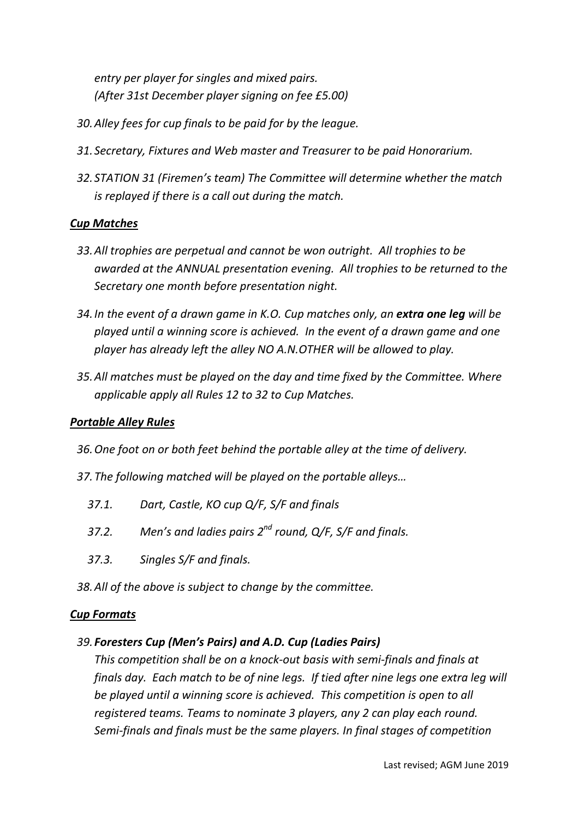*entry per player for singles and mixed pairs. (After 31st December player signing on fee £5.00)*

- *30.Alley fees for cup finals to be paid for by the league.*
- *31. Secretary, Fixtures and Web master and Treasurer to be paid Honorarium.*
- *32. STATION 31 (Firemen's team) The Committee will determine whether the match is replayed if there is a call out during the match.*

### *Cup Matches*

- *33.All trophies are perpetual and cannot be won outright. All trophies to be awarded at the ANNUAL presentation evening. All trophies to be returned to the Secretary one month before presentation night.*
- *34.In the event of a drawn game in K.O. Cup matches only, an extra one leg will be played until a winning score is achieved. In the event of a drawn game and one player has already left the alley NO A.N.OTHER will be allowed to play.*
- *35.All matches must be played on the day and time fixed by the Committee. Where applicable apply all Rules 12 to 32 to Cup Matches.*

### *Portable Alley Rules*

- *36.One foot on or both feet behind the portable alley at the time of delivery.*
- *37.The following matched will be played on the portable alleys…*
	- *37.1. Dart, Castle, KO cup Q/F, S/F and finals*
	- *37.2. Men's and ladies pairs 2nd round, Q/F, S/F and finals.*
	- *37.3. Singles S/F and finals.*
- *38.All of the above is subject to change by the committee.*

#### *Cup Formats*

### *39. Foresters Cup (Men's Pairs) and A.D. Cup (Ladies Pairs)*

*This competition shall be on a knock‐out basis with semi‐finals and finals at* finals day. Each match to be of nine legs. If tied after nine legs one extra leg will *be played until a winning score is achieved. This competition is open to all registered teams. Teams to nominate 3 players, any 2 can play each round. Semi‐finals and finals must be the same players. In final stages of competition*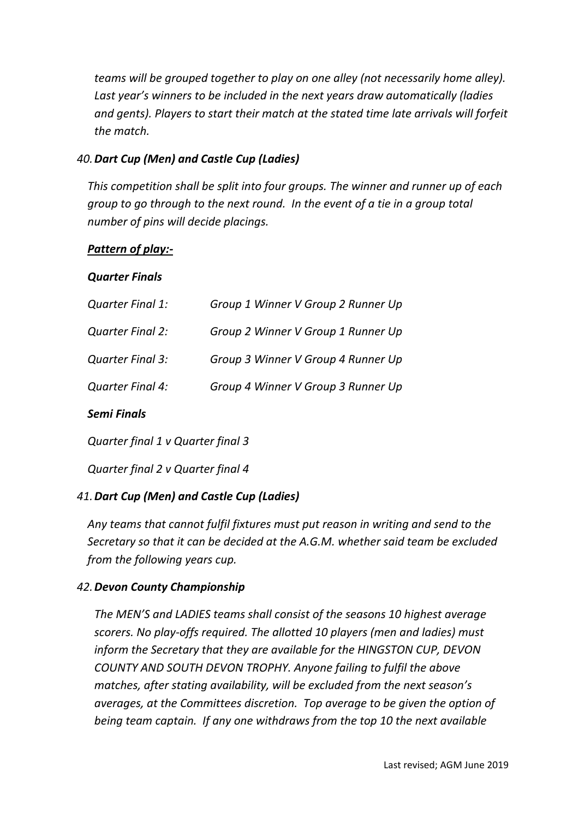*teams will be grouped together to play on one alley (not necessarily home alley). Last year's winners to be included in the next years draw automatically (ladies and gents). Players to start their match at the stated time late arrivals will forfeit the match.*

### *40.Dart Cup (Men) and Castle Cup (Ladies)*

*This competition shall be split into four groups. The winner and runner up of each group to go through to the next round. In the event of a tie in a group total number of pins will decide placings.*

### *Pattern of play:‐*

### *Quarter Finals*

| <b>Semi Finals</b>      |                                    |
|-------------------------|------------------------------------|
| Quarter Final 4:        | Group 4 Winner V Group 3 Runner Up |
| Quarter Final 3:        | Group 3 Winner V Group 4 Runner Up |
| <b>Quarter Final 2:</b> | Group 2 Winner V Group 1 Runner Up |
| Quarter Final 1:        | Group 1 Winner V Group 2 Runner Up |

*Quarter final 1 v Quarter final 3*

*Quarter final 2 v Quarter final 4*

### *41.Dart Cup (Men) and Castle Cup (Ladies)*

*Any teams that cannot fulfil fixtures must put reason in writing and send to the Secretary so that it can be decided at the A.G.M. whether said team be excluded from the following years cup.*

### *42.Devon County Championship*

*The MEN'S and LADIES teams shall consist of the seasons 10 highest average scorers. No play‐offs required. The allotted 10 players (men and ladies) must inform the Secretary that they are available for the HINGSTON CUP, DEVON COUNTY AND SOUTH DEVON TROPHY. Anyone failing to fulfil the above matches, after stating availability, will be excluded from the next season's averages, at the Committees discretion. Top average to be given the option of being team captain. If any one withdraws from the top 10 the next available*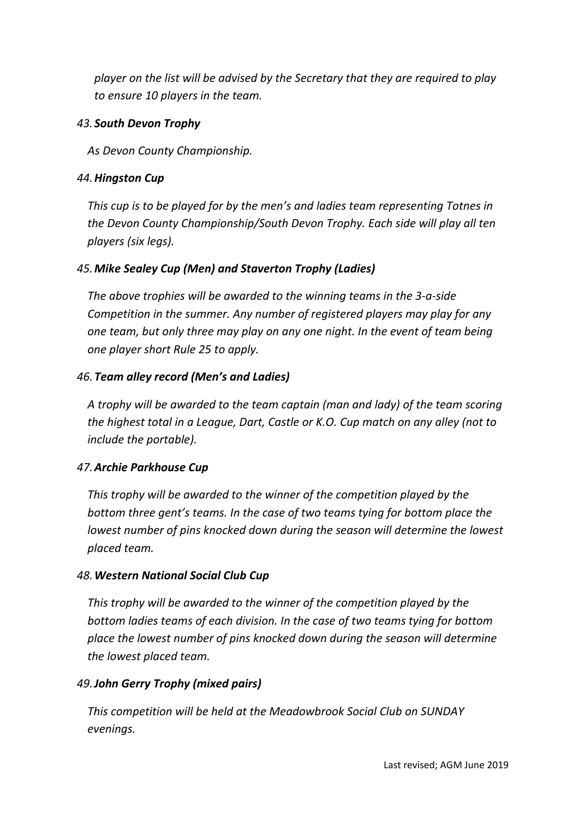*player on the list will be advised by the Secretary that they are required to play to ensure 10 players in the team.*

### *43. South Devon Trophy*

*As Devon County Championship.*

### *44.Hingston Cup*

*This cup is to be played for by the men's and ladies team representing Totnes in the Devon County Championship/South Devon Trophy. Each side will play all ten players (six legs).*

# *45.Mike Sealey Cup (Men) and Staverton Trophy (Ladies)*

*The above trophies will be awarded to the winning teams in the 3‐a‐side Competition in the summer. Any number of registered players may play for any one team, but only three may play on any one night. In the event of team being one player short Rule 25 to apply.*

# *46.Team alley record (Men's and Ladies)*

*A trophy will be awarded to the team captain (man and lady) of the team scoring the highest total in a League, Dart, Castle or K.O. Cup match on any alley (not to include the portable).*

# *47.Archie Parkhouse Cup*

*This trophy will be awarded to the winner of the competition played by the bottom three gent's teams. In the case of two teams tying for bottom place the lowest number of pins knocked down during the season will determine the lowest placed team.*

# *48.Western National Social Club Cup*

*This trophy will be awarded to the winner of the competition played by the bottom ladies teams of each division. In the case of two teams tying for bottom place the lowest number of pins knocked down during the season will determine the lowest placed team.*

# *49.John Gerry Trophy (mixed pairs)*

*This competition will be held at the Meadowbrook Social Club on SUNDAY evenings.*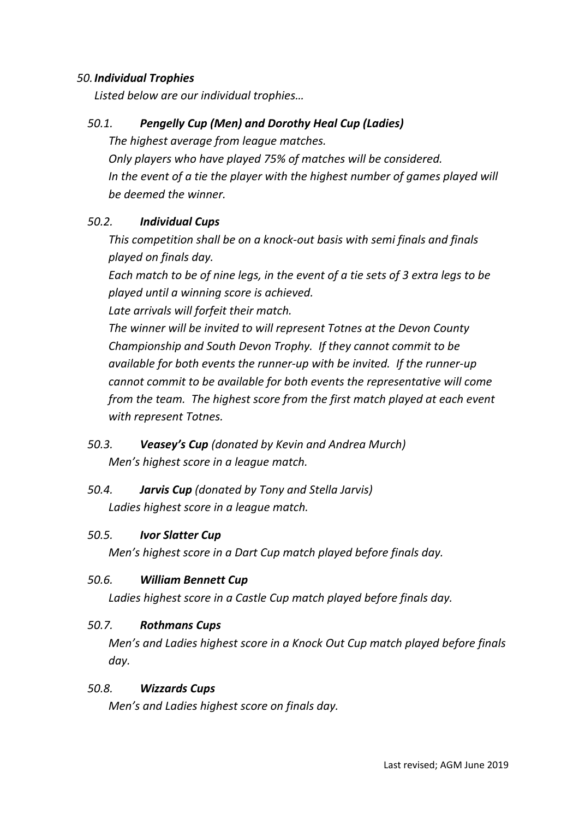### *50.Individual Trophies*

*Listed below are our individual trophies…*

### *50.1. Pengelly Cup (Men) and Dorothy Heal Cup (Ladies)*

*The highest average from league matches.* 

*Only players who have played 75% of matches will be considered. In the event of a tie the player with the highest number of games played will be deemed the winner.*

### *50.2. Individual Cups*

*This competition shall be on a knock‐out basis with semi finals and finals played on finals day.* 

*Each match to be of nine legs, in the event of a tie sets of 3 extra legs to be played until a winning score is achieved.* 

*Late arrivals will forfeit their match.*

*The winner will be invited to will represent Totnes at the Devon County Championship and South Devon Trophy. If they cannot commit to be available for both events the runner‐up with be invited. If the runner‐up cannot commit to be available for both events the representative will come from the team. The highest score from the first match played at each event with represent Totnes.*

# *50.3. Veasey's Cup (donated by Kevin and Andrea Murch) Men's highest score in a league match.*

# *50.4. Jarvis Cup (donated by Tony and Stella Jarvis) Ladies highest score in a league match.*

#### *50.5. Ivor Slatter Cup*

*Men's highest score in a Dart Cup match played before finals day.*

### *50.6. William Bennett Cup*

*Ladies highest score in a Castle Cup match played before finals day.*

### *50.7. Rothmans Cups*

*Men's and Ladies highest score in a Knock Out Cup match played before finals day.*

#### *50.8. Wizzards Cups*

*Men's and Ladies highest score on finals day.*